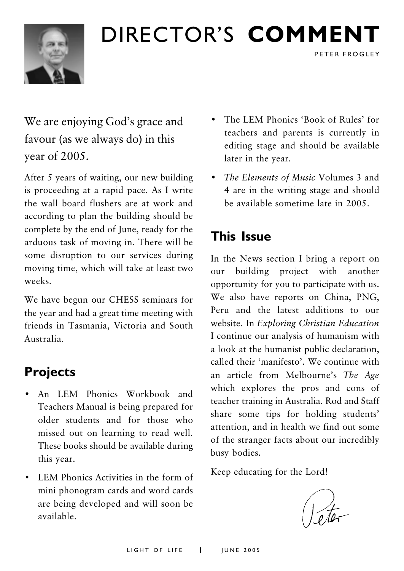

## DIRECTOR'S COMMENT

We are enjoying God's grace and favour (as we always do) in this year of 2005.

After 5 years of waiting, our new building is proceeding at a rapid pace. As I write the wall board flushers are at work and according to plan the building should be complete by the end of June, ready for the arduous task of moving in. There will be some disruption to our services during moving time, which will take at least two weeks

We have begun our CHESS seminars for the year and had a great time meeting with friends in Tasmania. Victoria and South Australia

### **Projects**

- An LEM Phonics Workbook and Teachers Manual is being prepared for older students and for those who missed out on learning to read well. These books should be available during this year.
- LEM Phonics Activities in the form of mini phonogram cards and word cards are being developed and will soon be available

The LEM Phonics 'Book of Rules' for  $\bullet$ teachers and parents is currently in editing stage and should be available later in the vear.

PETER FROGLEY

• The Elements of Music Volumes 3 and 4 are in the writing stage and should he available sometime late in 2005

## **This Issue**

In the News section I bring a report on our building project with another opportunity for you to participate with us. We also have reports on China, PNG, Peru and the latest additions to our website. In Exploring Christian Education I continue our analysis of humanism with a look at the humanist public declaration, called their 'manifesto'. We continue with an article from Melbourne's The Age which explores the pros and cons of teacher training in Australia. Rod and Staff share some tips for holding students' attention, and in health we find out some of the stranger facts about our incredibly busy bodies.

Keep educating for the Lord!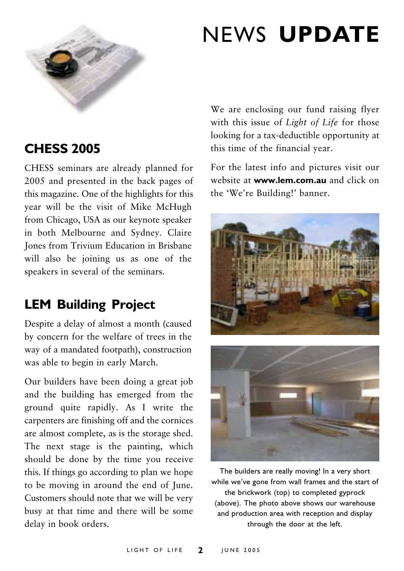

## **NEWS UPDATE**

### **CHESS 2005**

CHESS seminars are already planned for 2005 and presented in the back pages of this magazine. One of the highlights for this year will be the visit of Mike McHugh from Chicago, USA as our keynote speaker in both Melbourne and Sydney. Claire **Iones from Trivium Education in Brisbane** will also be joining us as one of the speakers in several of the seminars.

### **LEM Building Project**

Despite a delay of almost a month (caused by concern for the welfare of trees in the way of a mandated footpath), construction was able to begin in early March.

Our builders have been doing a great job and the building has emerged from the ground quite rapidly. As I write the carpenters are finishing off and the cornices are almost complete, as is the storage shed. The next stage is the painting, which should be done by the time you receive this. If things go according to plan we hope to be moving in around the end of June. Customers should note that we will be very busy at that time and there will be some delay in book orders.

We are enclosing our fund raising flyer with this issue of Light of Life for those looking for a tax-deductible opportunity at this time of the financial year.

For the latest info and pictures visit our website at www.lem.com.au and click on the 'We're Building!' banner.





The builders are really moving! In a very short while we've gone from wall frames and the start of the brickwork (top) to completed gyprock (above). The photo above shows our warehouse and production area with reception and display through the door at the left.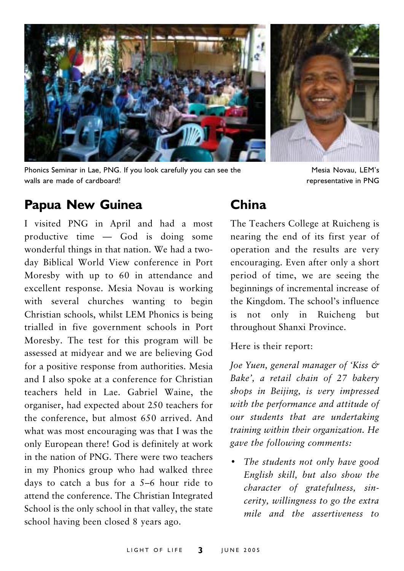

Phonics Seminar in Lae, PNG. If you look carefully you can see the walls are made of cardboard!



Mesia Novau, LEM's representative in PNG

### **Papua New Guinea**

I visited PNG in April and had a most productive time — God is doing some wonderful things in that nation. We had a twoday Biblical World View conference in Port Moresby with up to 60 in attendance and excellent response. Mesia Novau is working with several churches wanting to begin Christian schools, whilst LEM Phonics is being trialled in five government schools in Port Moresby. The test for this program will be assessed at midyear and we are believing God for a positive response from authorities. Mesia and I also spoke at a conference for Christian teachers held in Lae. Gabriel Waine, the organiser, had expected about 250 teachers for the conference, but almost 650 arrived. And what was most encouraging was that I was the only European there! God is definitely at work in the nation of PNG. There were two teachers in my Phonics group who had walked three days to catch a bus for a  $5-6$  hour ride to attend the conference. The Christian Integrated School is the only school in that valley, the state school having been closed 8 years ago.

### China

The Teachers College at Ruicheng is nearing the end of its first year of operation and the results are very encouraging. Even after only a short period of time, we are seeing the beginnings of incremental increase of the Kingdom. The school's influence not only in Ruicheng  $is$ hut throughout Shanxi Province.

Here is their report:

Joe Yuen, general manager of 'Kiss & Bake', a retail chain of 27 bakery shops in Beijing, is very impressed with the performance and attitude of our students that are undertaking training within their organization. He gave the following comments:

The students not only have good English skill, but also show the character of gratefulness, sincerity, willingness to go the extra mile and the assertiveness to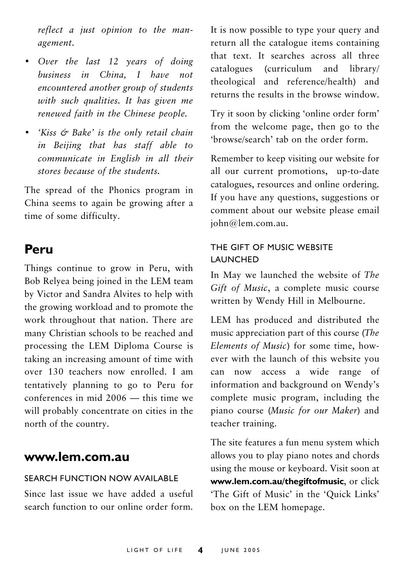reflect a just opinion to the management.

- Over the last 12 years of doing business in China. I have not encountered another group of students with such qualities. It has given me renewed faith in the Chinese people.
- 'Kiss & Bake' is the only retail chain in Beijing that has staff able to communicate in English in all their stores because of the students.

The spread of the Phonics program in China seems to again be growing after a time of some difficulty.

### Peru

Things continue to grow in Peru, with Bob Relyea being joined in the LEM team by Victor and Sandra Alvites to help with the growing workload and to promote the work throughout that nation. There are many Christian schools to be reached and processing the LEM Diploma Course is taking an increasing amount of time with over 130 teachers now enrolled. I am tentatively planning to go to Peru for conferences in mid  $2006 -$  this time we will probably concentrate on cities in the north of the country.

#### www.lem.com.au

#### SEARCH FUNCTION NOW AVAILABLE

Since last issue we have added a useful search function to our online order form. It is now possible to type your query and return all the catalogue items containing that text. It searches across all three catalogues (curriculum and library/ theological and reference/health) and returns the results in the browse window.

Try it soon by clicking 'online order form' from the welcome page, then go to the 'hrowse/search' tab on the order form

Remember to keep visiting our website for all our current promotions, up-to-date catalogues, resources and online ordering. If you have any questions, suggestions or comment about our website please email iohn@lem.com.au.

#### THE GIFT OF MUSIC WEBSITE **LAUNCHED**

In May we launched the website of The Gift of Music, a complete music course written by Wendy Hill in Melbourne.

LEM has produced and distributed the music appreciation part of this course (The Elements of Music) for some time, however with the launch of this website you can now access a wide range of information and background on Wendy's complete music program, including the piano course (Music for our Maker) and teacher training.

The site features a fun menu system which allows you to play piano notes and chords using the mouse or keyboard. Visit soon at www.lem.com.au/thegiftofmusic, or click 'The Gift of Music' in the 'Quick Links' box on the LEM homepage.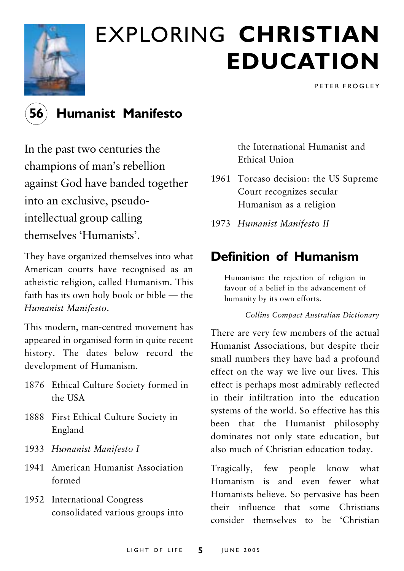

## **EXPLORING CHRISTIAN EDUCATION**

PETER FROGLEY



### **Humanist Manifesto**

In the past two centuries the champions of man's rebellion against God have banded together into an exclusive, pseudointellectual group calling themselves 'Humanists'

They have organized themselves into what American courts have recognised as an atheistic religion, called Humanism. This faith has its own holy book or bible - the Humanist Manifesto.

This modern, man-centred movement has appeared in organised form in quite recent history. The dates below record the development of Humanism.

- 1876 Ethical Culture Society formed in the USA
- 1888 First Ethical Culture Society in England
- 1933 Humanist Manifesto I
- 1941 American Humanist Association formed
- 1952 International Congress consolidated various groups into

the International Humanist and Ethical Union

- 1961 Torcaso decision: the US Supreme Court recognizes secular Humanism as a religion
- 1973 Humanist Manifesto II

## **Definition of Humanism**

Humanism: the rejection of religion in favour of a belief in the advancement of humanity by its own efforts.

Collins Compact Australian Dictionary

There are very few members of the actual Humanist Associations, but despite their small numbers they have had a profound effect on the way we live our lives. This effect is perhaps most admirably reflected in their infiltration into the education systems of the world. So effective has this been that the Humanist philosophy dominates not only state education, but also much of Christian education today.

Tragically, few people know what Humanism is and even fewer what Humanists believe. So pervasive has been their influence that some Christians consider themselves to be 'Christian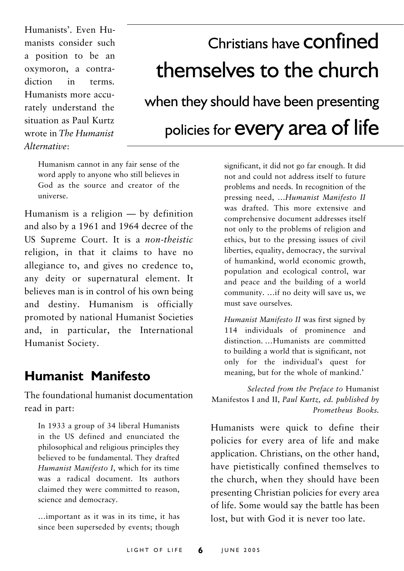Humanists', Even Humanists consider such a position to be an oxymoron, a contradiction  $in$ terms. Humanists more accurately understand the situation as Paul Kurtz wrote in The Humanist Alternative:

## Christians have **CONfined** themselves to the church when they should have been presenting policies for **every** area of life

Humanism cannot in any fair sense of the word apply to anyone who still believes in God as the source and creator of the universe.

Humanism is a religion  $-$  by definition and also by a 1961 and 1964 decree of the US Supreme Court. It is a non-theistic religion, in that it claims to have no allegiance to, and gives no credence to, any deity or supernatural element. It believes man is in control of his own being and destiny. Humanism is officially promoted by national Humanist Societies and, in particular, the International Humanist Society.

### **Humanist Manifesto**

The foundational humanist documentation read in part:

In 1933 a group of 34 liberal Humanists in the US defined and enunciated the philosophical and religious principles they believed to be fundamental. They drafted Humanist Manifesto I, which for its time was a radical document. Its authors claimed they were committed to reason, science and democracy.

... important as it was in its time, it has since been superseded by events; though significant, it did not go far enough. It did not and could not address itself to future problems and needs. In recognition of the pressing need, ...Humanist Manifesto II was drafted. This more extensive and comprehensive document addresses itself not only to the problems of religion and ethics, but to the pressing issues of civil liberties, equality, democracy, the survival of humankind, world economic growth, population and ecological control, war and peace and the building of a world community. ... if no deity will save us, we must save ourselves

Humanist Manifesto II was first signed by 114 individuals of prominence and distinction. ... Humanists are committed to building a world that is significant, not only for the individual's quest for meaning, but for the whole of mankind.'

Selected from the Preface to Humanist Manifestos I and II, Paul Kurtz, ed. published by Prometheus Books.

Humanists were quick to define their policies for every area of life and make application. Christians, on the other hand, have pietistically confined themselves to the church, when they should have been presenting Christian policies for every area of life. Some would say the battle has been lost, but with God it is never too late.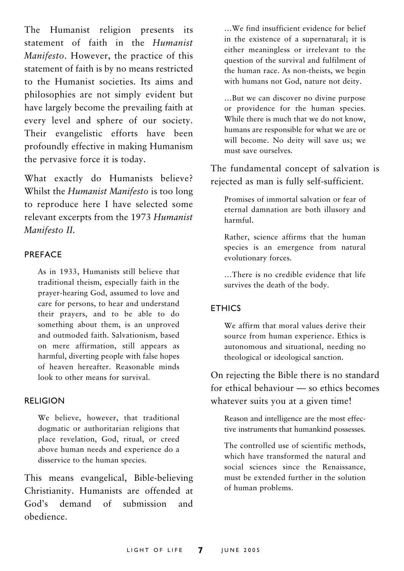The Humanist religion presents its statement of faith in the Humanist Manifesto. However, the practice of this statement of faith is by no means restricted to the Humanist societies. Its aims and philosophies are not simply evident but have largely become the prevailing faith at every level and sphere of our society. Their evangelistic efforts have been profoundly effective in making Humanism the pervasive force it is today.

What exactly do Humanists believe? Whilst the *Humanist Manifesto* is too long to reproduce here I have selected some relevant excerpts from the 1973 Humanist Manifesto II.

#### PREFACE

As in 1933, Humanists still believe that traditional theism, especially faith in the prayer-hearing God, assumed to love and care for persons, to hear and understand their prayers, and to be able to do something about them, is an unproved and outmoded faith. Salvationism, based on mere affirmation, still appears as harmful, diverting people with false hopes of heaven hereafter. Reasonable minds look to other means for survival.

#### **RELIGION**

We believe, however, that traditional dogmatic or authoritarian religions that place revelation, God, ritual, or creed above human needs and experience do a disservice to the human species.

This means evangelical, Bible-believing Christianity. Humanists are offended at demand  $\alpha$ f submission  $God's$ and obedience

...We find insufficient evidence for belief in the existence of a supernatural: it is either meaningless or irrelevant to the question of the survival and fulfilment of the human race. As non-theists, we begin with humans not God, nature not deity.

...But we can discover no divine purpose or providence for the human species. While there is much that we do not know, humans are responsible for what we are or will become. No deity will save us; we must save ourselves.

The fundamental concept of salvation is rejected as man is fully self-sufficient.

Promises of immortal salvation or fear of eternal damnation are both illusory and harmful

Rather, science affirms that the human species is an emergence from natural evolutionary forces.

...There is no credible evidence that life survives the death of the body.

#### **ETHICS**

We affirm that moral values derive their source from human experience. Ethics is autonomous and situational, needing no theological or ideological sanction.

On rejecting the Bible there is no standard for ethical behaviour - so ethics becomes whatever suits you at a given time!

Reason and intelligence are the most effective instruments that humankind possesses.

The controlled use of scientific methods, which have transformed the natural and social sciences since the Renaissance. must be extended further in the solution of human problems.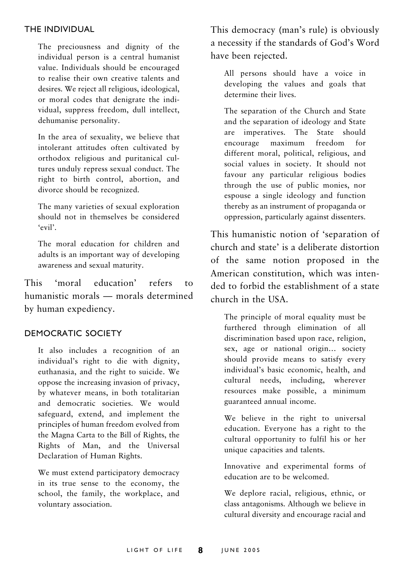#### THE INDIVIDUAL

The preciousness and dignity of the individual person is a central humanist value. Individuals should be encouraged to realise their own creative talents and desires. We reject all religious, ideological, or moral codes that denigrate the individual, suppress freedom, dull intellect, dehumanise personality.

In the area of sexuality, we believe that intolerant attitudes often cultivated by orthodox religious and puritanical cultures unduly repress sexual conduct. The right to birth control, abortion, and divorce should be recognized.

The many varieties of sexual exploration should not in themselves be considered 'evil'.

The moral education for children and adults is an important way of developing awareness and sexual maturity.

'moral education' This refers  $t_0$ humanistic morals — morals determined by human expediency.

#### **DEMOCRATIC SOCIETY**

It also includes a recognition of an individual's right to die with dignity, euthanasia, and the right to suicide. We oppose the increasing invasion of privacy, by whatever means, in both totalitarian and democratic societies. We would safeguard, extend, and implement the principles of human freedom evolved from the Magna Carta to the Bill of Rights, the Rights of Man, and the Universal Declaration of Human Rights.

We must extend participatory democracy in its true sense to the economy, the school, the family, the workplace, and voluntary association.

This democracy (man's rule) is obviously a necessity if the standards of God's Word have been rejected.

All persons should have a voice in developing the values and goals that determine their lives

The separation of the Church and State and the separation of ideology and State are imperatives. The State should encourage maximum freedom  $for$ different moral, political, religious, and social values in society. It should not favour any particular religious bodies through the use of public monies, nor espouse a single ideology and function thereby as an instrument of propaganda or oppression, particularly against dissenters.

This humanistic notion of 'separation of church and state' is a deliberate distortion of the same notion proposed in the American constitution, which was intended to forbid the establishment of a state church in the USA

The principle of moral equality must be furthered through elimination of all discrimination based upon race, religion, sex, age or national origin... society should provide means to satisfy every individual's basic economic, health, and cultural needs, including, wherever resources make possible, a minimum guaranteed annual income.

We believe in the right to universal education. Everyone has a right to the cultural opportunity to fulfil his or her unique capacities and talents.

Innovative and experimental forms of education are to be welcomed.

We deplore racial, religious, ethnic, or class antagonisms. Although we believe in cultural diversity and encourage racial and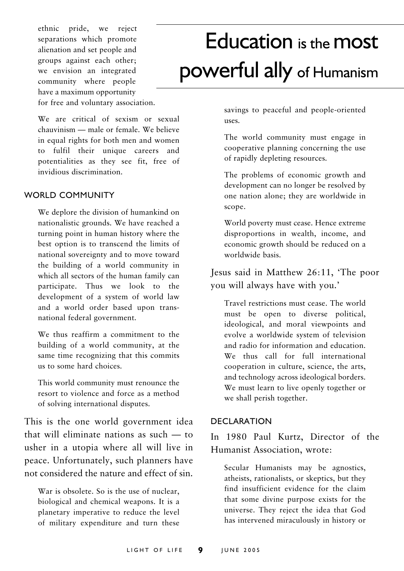ethnic pride, we reject separations which promote alienation and set people and groups against each other: we envision an integrated community where people have a maximum opportunity for free and voluntary association.

We are critical of sexism or sexual chauvinism - male or female. We believe in equal rights for both men and women to fulfil their unique careers and potentialities as they see fit, free of invidious discrimination.

#### **WORLD COMMUNITY**

We deplore the division of humankind on nationalistic grounds. We have reached a turning point in human history where the best option is to transcend the limits of national sovereignty and to move toward the building of a world community in which all sectors of the human family can participate. Thus we look to the development of a system of world law and a world order based upon transnational federal government.

We thus reaffirm a commitment to the building of a world community, at the same time recognizing that this commits us to some hard choices.

This world community must renounce the resort to violence and force as a method of solving international disputes.

This is the one world government idea that will eliminate nations as such  $-$  to usher in a utopia where all will live in peace. Unfortunately, such planners have not considered the nature and effect of sin

War is obsolete. So is the use of nuclear, biological and chemical weapons. It is a planetary imperative to reduce the level of military expenditure and turn these

## Education is the most powerful ally of Humanism

savings to peaceful and people-oriented uses

The world community must engage in cooperative planning concerning the use of rapidly depleting resources.

The problems of economic growth and development can no longer be resolved by one nation alone; they are worldwide in scope.

World poverty must cease. Hence extreme disproportions in wealth, income, and economic growth should be reduced on a worldwide basis.

Jesus said in Matthew 26:11, 'The poor you will always have with you.'

Travel restrictions must cease. The world must be open to diverse political, ideological, and moral viewpoints and evolve a worldwide system of television and radio for information and education. We thus call for full international cooperation in culture, science, the arts, and technology across ideological borders. We must learn to live openly together or we shall perish together.

#### **DECLARATION**

In 1980 Paul Kurtz, Director of the Humanist Association, wrote:

Secular Humanists may be agnostics, atheists, rationalists, or skeptics, but they find insufficient evidence for the claim that some divine purpose exists for the universe. They reject the idea that God has intervened miraculously in history or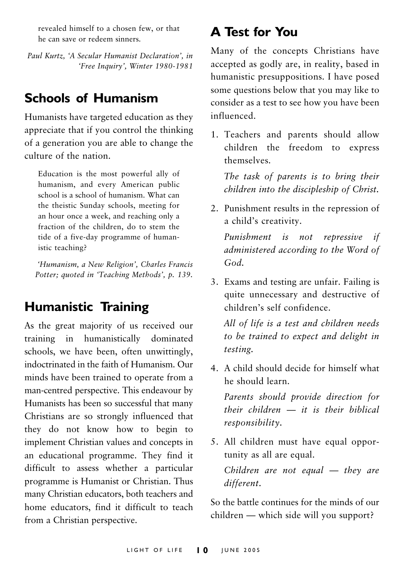revealed himself to a chosen few, or that he can save or redeem sinners.

Paul Kurtz, 'A Secular Humanist Declaration', in 'Free Inquiry', Winter 1980-1981

## **Schools of Humanism**

Humanists have targeted education as they appreciate that if you control the thinking of a generation you are able to change the culture of the nation

Education is the most powerful ally of humanism, and every American public school is a school of humanism. What can the theistic Sunday schools, meeting for an hour once a week, and reaching only a fraction of the children, do to stem the tide of a five-day programme of humanistic teaching?

'Humanism, a New Religion', Charles Francis Potter; quoted in 'Teaching Methods', p. 139.

## **Humanistic Training**

As the great majority of us received our training in humanistically dominated schools, we have been, often unwittingly, indoctrinated in the faith of Humanism Our minds have been trained to operate from a man-centred perspective. This endeavour by Humanists has been so successful that many Christians are so strongly influenced that they do not know how to begin to implement Christian values and concepts in an educational programme. They find it difficult to assess whether a particular programme is Humanist or Christian. Thus many Christian educators, both teachers and home educators, find it difficult to teach from a Christian perspective.

## **A Test for You**

Many of the concepts Christians have accepted as godly are, in reality, based in humanistic presuppositions. I have posed some questions below that you may like to consider as a test to see how you have been influenced

1. Teachers and parents should allow children the freedom to express themselves.

The task of parents is to bring their children into the discipleship of Christ.

2. Punishment results in the repression of a child's creativity.

Punishment is not repressive if administered according to the Word of  $God.$ 

3. Exams and testing are unfair. Failing is quite unnecessary and destructive of children's self confidence

All of life is a test and children needs to be trained to expect and delight in testing.

4 A child should decide for himself what he should learn

Parents should provide direction for their children  $-$  it is their hiblical responsibility.

5. All children must have equal opportunity as all are equal. Children are not equal  $-$  they are different.

So the battle continues for the minds of our children — which side will you support?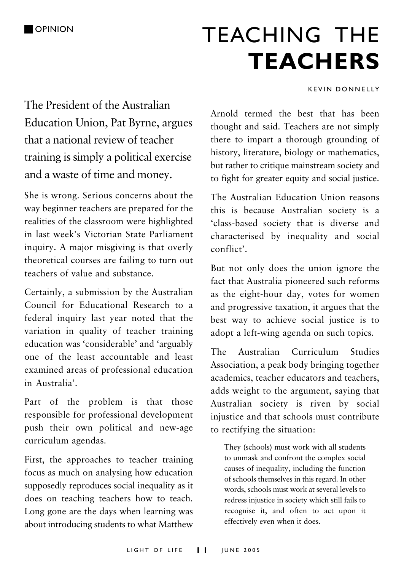## **TEACHING THE TEACHERS**

#### **KEVIN DONNELLY**

The President of the Australian Education Union, Pat Byrne, argues that a national review of teacher training is simply a political exercise and a waste of time and money.

She is wrong. Serious concerns about the way beginner teachers are prepared for the realities of the classroom were highlighted in last week's Victorian State Parliament inquiry. A major misgiving is that overly theoretical courses are failing to turn out teachers of value and substance

Certainly, a submission by the Australian Council for Educational Research to a federal inquiry last year noted that the variation in quality of teacher training education was 'considerable' and 'arguably one of the least accountable and least examined areas of professional education in Australia'

Part of the problem is that those responsible for professional development push their own political and new-age curriculum agendas.

First, the approaches to teacher training focus as much on analysing how education supposedly reproduces social inequality as it does on teaching teachers how to teach. Long gone are the days when learning was about introducing students to what Matthew

Arnold termed the best that has been thought and said. Teachers are not simply there to impart a thorough grounding of history, literature, biology or mathematics, but rather to critique mainstream society and to fight for greater equity and social justice.

The Australian Education Union reasons this is because Australian society is a 'class-based society that is diverse and characterised by inequality and social conflict'.

But not only does the union ignore the fact that Australia pioneered such reforms as the eight-hour day, votes for women and progressive taxation, it argues that the best way to achieve social justice is to adopt a left-wing agenda on such topics.

The Australian Curriculum **Studies** Association, a peak body bringing together academics, teacher educators and teachers. adds weight to the argument, saying that Australian society is riven by social injustice and that schools must contribute to rectifying the situation:

They (schools) must work with all students to unmask and confront the complex social causes of inequality, including the function of schools themselves in this regard. In other words, schools must work at several levels to redress injustice in society which still fails to recognise it, and often to act upon it effectively even when it does.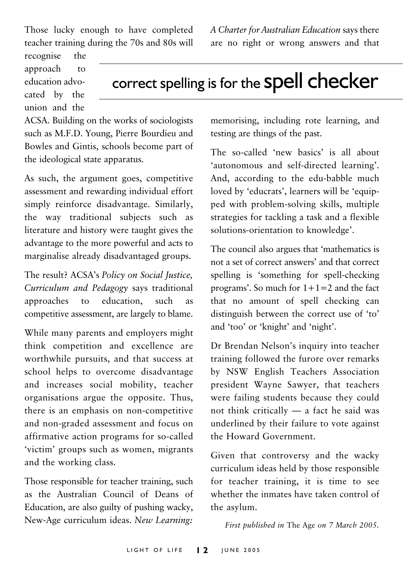Those lucky enough to have completed teacher training during the 70s and 80s will A Charter for Australian Education says there are no right or wrong answers and that

recognise the approach  $t_{\Omega}$ education advocated by the union and the

correct spelling is for the Spell checker

ACSA. Building on the works of sociologists such as M.F.D. Young, Pierre Bourdieu and Bowles and Gintis, schools become part of the ideological state apparatus.

As such, the argument goes, competitive assessment and rewarding individual effort simply reinforce disadvantage. Similarly, the way traditional subjects such as literature and history were taught gives the advantage to the more powerful and acts to marginalise already disadvantaged groups.

The result? ACSA's Policy on Social Justice, Curriculum and Pedagogy says traditional approaches  $t_0$ education. such as competitive assessment, are largely to blame.

While many parents and employers might think competition and excellence are worthwhile pursuits, and that success at school helps to overcome disadvantage and increases social mobility, teacher organisations argue the opposite. Thus, there is an emphasis on non-competitive and non-graded assessment and focus on affirmative action programs for so-called 'victim' groups such as women, migrants and the working class.

Those responsible for teacher training, such as the Australian Council of Deans of Education, are also guilty of pushing wacky, New-Age curriculum ideas. New Learning:

memorising, including rote learning, and testing are things of the past.

The so-called 'new basics' is all about 'autonomous and self-directed learning'. And, according to the edu-babble much loved by 'educrats', learners will be 'equipped with problem-solving skills, multiple strategies for tackling a task and a flexible solutions-orientation to knowledge'.

The council also argues that 'mathematics is not a set of correct answers' and that correct spelling is 'something for spell-checking programs'. So much for  $1+1=2$  and the fact that no amount of spell checking can distinguish between the correct use of 'to' and 'too' or 'knight' and 'night'.

Dr Brendan Nelson's inquiry into teacher training followed the furore over remarks by NSW English Teachers Association president Wayne Sawyer, that teachers were failing students because they could not think critically - a fact he said was underlined by their failure to vote against the Howard Government.

Given that controversy and the wacky curriculum ideas held by those responsible for teacher training, it is time to see whether the inmates have taken control of the asylum.

First published in The Age on 7 March 2005.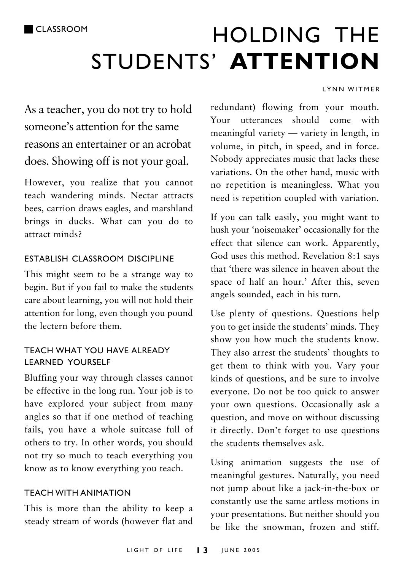## HOLDING THE STUDENTS' ATTENTION

#### LYNN WITMER

As a teacher, you do not try to hold someone's attention for the same reasons an entertainer or an acrobat does. Showing off is not your goal.

However, you realize that you cannot teach wandering minds. Nectar attracts bees, carrion draws eagles, and marshland brings in ducks. What can you do to attract minds?

#### ESTABLISH CLASSROOM DISCIPLINE

This might seem to be a strange way to begin. But if you fail to make the students care about learning, you will not hold their attention for long, even though you pound the lectern before them

#### TFACH WHAT YOU HAVE AI READY **I FARNED YOURSELF**

Bluffing your way through classes cannot be effective in the long run. Your job is to have explored your subject from many angles so that if one method of teaching fails, you have a whole suitcase full of others to try. In other words, you should not try so much to teach everything you know as to know everything you teach.

#### **TFACH WITH ANIMATION**

This is more than the ability to keep a steady stream of words (however flat and redundant) flowing from your mouth. Your utterances should come with meaningful variety - variety in length, in volume, in pitch, in speed, and in force. Nobody appreciates music that lacks these variations. On the other hand, music with no repetition is meaningless. What you need is repetition coupled with variation.

If you can talk easily, you might want to hush your 'noisemaker' occasionally for the effect that silence can work. Apparently, God uses this method. Revelation 8:1 says that 'there was silence in heaven about the space of half an hour.' After this, seven angels sounded, each in his turn.

Use plenty of questions. Questions help you to get inside the students' minds. They show you how much the students know. They also arrest the students' thoughts to get them to think with you. Vary your kinds of questions, and be sure to involve everyone. Do not be too quick to answer your own questions. Occasionally ask a question, and move on without discussing it directly. Don't forget to use questions the students themselves ask.

Using animation suggests the use of meaningful gestures. Naturally, you need not jump about like a jack-in-the-box or constantly use the same artless motions in your presentations. But neither should you be like the snowman, frozen and stiff.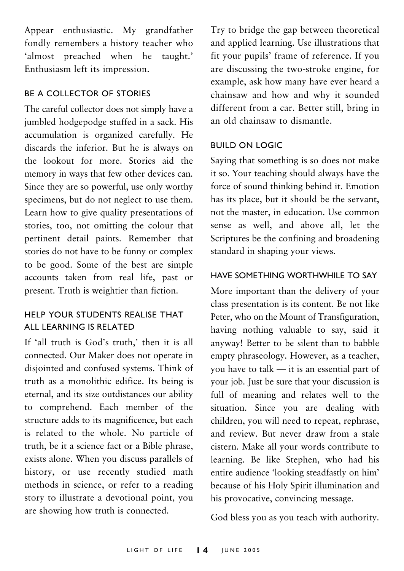Appear enthusiastic. My grandfather fondly remembers a history teacher who 'almost preached when he taught.' Enthusiasm left its impression.

#### **BE A COLLECTOR OF STORIES**

The careful collector does not simply have a jumbled hodgepodge stuffed in a sack. His accumulation is organized carefully. He discards the inferior. But he is always on the lookout for more. Stories aid the memory in ways that few other devices can. Since they are so powerful, use only worthy specimens, but do not neglect to use them. Learn how to give quality presentations of stories, too, not omitting the colour that pertinent detail paints. Remember that stories do not have to be funny or complex to be good. Some of the best are simple accounts taken from real life, past or present. Truth is weightier than fiction.

#### HELP YOUR STUDENTS REALISE THAT ALL LEARNING IS RELATED

If 'all truth is God's truth,' then it is all connected. Our Maker does not operate in disjointed and confused systems. Think of truth as a monolithic edifice. Its being is eternal, and its size outdistances our ability to comprehend. Each member of the structure adds to its magnificence, but each is related to the whole. No particle of truth, be it a science fact or a Bible phrase, exists alone. When you discuss parallels of history, or use recently studied math methods in science, or refer to a reading story to illustrate a devotional point, you are showing how truth is connected.

Try to bridge the gap between theoretical and applied learning. Use illustrations that fit your pupils' frame of reference. If you are discussing the two-stroke engine, for example, ask how many have ever heard a chainsaw and how and why it sounded different from a car. Better still, bring in an old chainsaw to dismantle

#### **BUILD ON LOGIC**

Saying that something is so does not make it so. Your teaching should always have the force of sound thinking behind it. Emotion has its place, but it should be the servant, not the master, in education. Use common sense as well, and above all, let the Scriptures be the confining and broadening standard in shaping your views.

#### HAVE SOMETHING WORTHWHILE TO SAY

More important than the delivery of your class presentation is its content. Be not like Peter, who on the Mount of Transfiguration. having nothing valuable to say, said it anyway! Better to be silent than to babble empty phraseology. However, as a teacher, you have to talk — it is an essential part of your job. Just be sure that your discussion is full of meaning and relates well to the situation. Since you are dealing with children, you will need to repeat, rephrase, and review. But never draw from a stale cistern. Make all your words contribute to learning. Be like Stephen, who had his entire audience 'looking steadfastly on him' because of his Holy Spirit illumination and his provocative, convincing message.

God bless you as you teach with authority.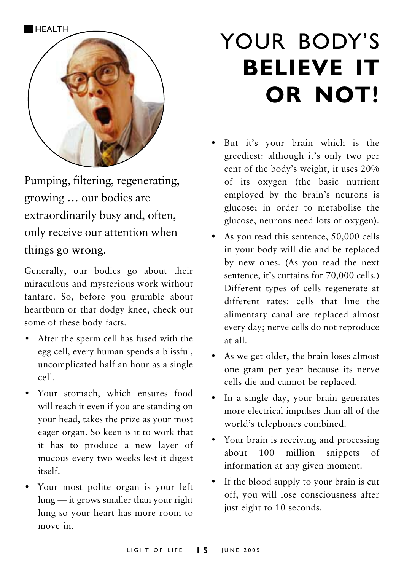

Pumping, filtering, regenerating, growing ... our bodies are extraordinarily busy and, often, only receive our attention when things go wrong.

Generally, our bodies go about their miraculous and mysterious work without fanfare. So, before you grumble about heartburn or that dodgy knee, check out some of these body facts.

- After the sperm cell has fused with the egg cell, every human spends a blissful, uncomplicated half an hour as a single  $rel1$
- · Your stomach, which ensures food will reach it even if you are standing on your head, takes the prize as your most eager organ. So keen is it to work that it has to produce a new layer of mucous every two weeks lest it digest itself
- · Your most polite organ is your left lung - it grows smaller than your right lung so your heart has more room to move in.

## YOUR BODY'S **BELIEVE IT** OR NOT!

- · But it's your brain which is the greediest: although it's only two per cent of the body's weight, it uses 20% of its oxygen (the basic nutrient employed by the brain's neurons is glucose; in order to metabolise the glucose, neurons need lots of oxygen).
- As you read this sentence, 50,000 cells in your body will die and be replaced by new ones. (As you read the next sentence, it's curtains for 70,000 cells.) Different types of cells regenerate at different rates: cells that line the alimentary canal are replaced almost every day; nerve cells do not reproduce at all.
- $\bullet$ As we get older, the brain loses almost one gram per year because its nerve cells die and cannot be replaced.
- In a single day, your brain generates more electrical impulses than all of the world's telephones combined.
- Your brain is receiving and processing about 100 million snippets  $\alpha$ f information at any given moment.
- If the blood supply to your brain is cut off, you will lose consciousness after just eight to 10 seconds.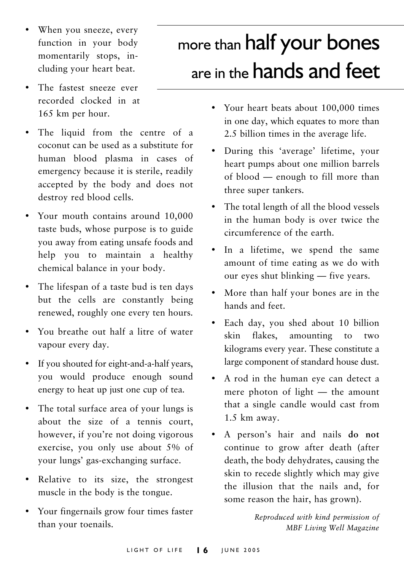- When you sneeze, every function in your body momentarily stops, including your heart beat.
- The fastest sneeze ever recorded clocked in at 165 km per hour.
- The liquid from the centre of a coconut can be used as a substitute for human blood plasma in cases of emergency because it is sterile, readily accepted by the body and does not destroy red blood cells.
- Your mouth contains around 10,000 taste buds, whose purpose is to guide you away from eating unsafe foods and help you to maintain a healthy chemical balance in your body.
- The lifespan of a taste bud is ten days but the cells are constantly being renewed, roughly one every ten hours.
- You breathe out half a litre of water vapour every day.
- If you shouted for eight-and-a-half years,  $\bullet$ you would produce enough sound energy to heat up just one cup of tea.
- The total surface area of your lungs is about the size of a tennis court, however, if you're not doing vigorous exercise, you only use about 5% of your lungs' gas-exchanging surface.
- Relative to its size, the strongest muscle in the body is the tongue.
- Your fingernails grow four times faster than your toenails.

## more than half your bones are in the **hands** and feet

- Your heart beats about 100,000 times in one day, which equates to more than 2.5 billion times in the average life.
- $\bullet$ During this 'average' lifetime, your heart pumps about one million barrels of blood — enough to fill more than three super tankers.
- The total length of all the blood vessels  $\bullet$ in the human body is over twice the circumference of the earth.
- In a lifetime, we spend the same amount of time eating as we do with our eyes shut blinking — five years.
- More than half your bones are in the hands and feet
- $\bullet$ Each day, you shed about 10 billion flakes. skin amounting  $\overline{t}$  $two$ kilograms every year. These constitute a large component of standard house dust.
- A rod in the human eye can detect a mere photon of light - the amount that a single candle would cast from 1.5 km away.
- A person's hair and nails do not continue to grow after death (after death, the body dehydrates, causing the skin to recede slightly which may give the illusion that the nails and, for some reason the hair, has grown).

Reproduced with kind permission of MBF Living Well Magazine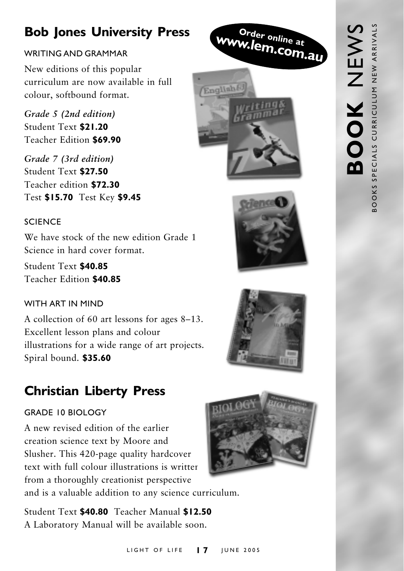## **Bob Jones University Press**

#### WRITING AND GRAMMAR

New editions of this popular curriculum are now available in full colour, softbound format.

Grade 5 (2nd edition) Student Text \$21.20 Teacher Edition \$69.90

Grade 7 (3rd edition) Student Text \$27.50 Teacher edition \$72.30 Test \$15.70 Test Key \$9.45

#### **SCIENCE**

We have stock of the new edition Grade 1 Science in hard cover format

Student Text \$40.85 Teacher Edition \$40.85

#### WITH ART IN MIND

A collection of 60 art lessons for ages 8–13. Excellent lesson plans and colour illustrations for a wide range of art projects. Spiral bound. \$35.60

## **Christian Liberty Press**

#### **GRADE 10 BIOLOGY**

A new revised edition of the earlier creation science text by Moore and Slusher. This 420-page quality hardcover text with full colour illustrations is writter from a thoroughly creationist perspective

and is a valuable addition to any science curriculum.

Student Text \$40.80 Teacher Manual \$12.50 A Laboratory Manual will be available soon.



Order online at

English

w.lem.com.au



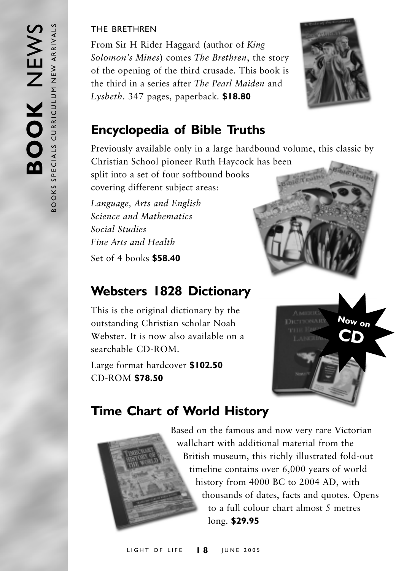#### THE BRETHREN

From Sir H Rider Haggard (author of King Solomon's Mines) comes The Brethren, the story of the opening of the third crusade. This book is the third in a series after The Pearl Maiden and  $Lysbeth. 347$  pages, paperback.  $$18.80$ 



## **Encyclopedia of Bible Truths**

Previously available only in a large hardbound volume, this classic by

Christian School pioneer Ruth Haycock has been split into a set of four softbound books covering different subject areas:

Language, Arts and English Science and Mathematics Social Studies Fine Arts and Health Set of 4 books \$58.40

## **Websters 1828 Dictionary**

This is the original dictionary by the outstanding Christian scholar Noah Webster. It is now also available on a searchable CD-ROM.

Large format hardcover \$102.50 **CD-ROM \$78.50** 





## **Time Chart of World History**



Based on the famous and now very rare Victorian wallchart with additional material from the British museum, this richly illustrated fold-out timeline contains over 6,000 years of world history from 4000 BC to 2004 AD, with thousands of dates, facts and quotes. Opens to a full colour chart almost 5 metres long. \$29.95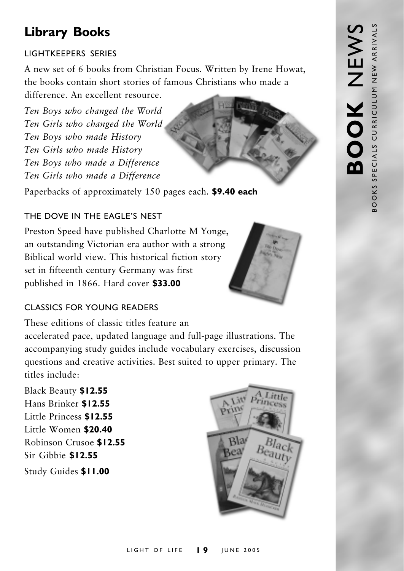## **Library Books**

#### **LIGHTKFFPFRS SERIES**

A new set of 6 books from Christian Focus. Written by Irene Howat, the books contain short stories of famous Christians who made a difference An excellent resource

Ten Boys who changed the World Ten Girls who changed the World Ten Boys who made History Ten Girls who made History Ten Boys who made a Difference Ten Girls who made a Difference

Paperbacks of approximately 150 pages each. \$9.40 each

#### THE DOVE IN THE FAGLE'S NEST

Preston Speed have published Charlotte M Yonge, an outstanding Victorian era author with a strong Biblical world view. This historical fiction story set in fifteenth century Germany was first published in 1866. Hard cover \$33.00



These editions of classic titles feature an

accelerated pace, updated language and full-page illustrations. The accompanying study guides include vocabulary exercises, discussion questions and creative activities. Best suited to upper primary. The titles include:

Black Beauty \$12.55 Hans Brinker \$12.55 Little Princess \$12.55 Little Women \$20.40 Robinson Crusoe \$12.55 Sir Gibbie \$12.55 Study Guides \$11.00





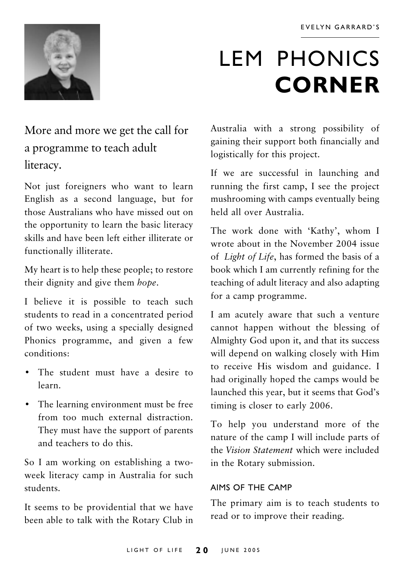

## **LEM PHONICS CORNER**

## More and more we get the call for a programme to teach adult literacy.

Not just foreigners who want to learn English as a second language, but for those Australians who have missed out on the opportunity to learn the basic literacy skills and have been left either illiterate or functionally illiterate.

My heart is to help these people; to restore their dignity and give them hope.

I believe it is possible to teach such students to read in a concentrated period of two weeks, using a specially designed Phonics programme, and given a few conditions.

- The student must have a desire to learn
- The learning environment must be free from too much external distraction. They must have the support of parents and teachers to do this.

So I am working on establishing a twoweek literacy camp in Australia for such students.

It seems to be providential that we have been able to talk with the Rotary Club in Australia with a strong possibility of gaining their support both financially and logistically for this project.

If we are successful in launching and running the first camp, I see the project mushrooming with camps eventually being held all over Australia

The work done with 'Kathy', whom I wrote about in the November 2004 issue of Light of Life, has formed the basis of a book which I am currently refining for the teaching of adult literacy and also adapting for a camp programme.

I am acutely aware that such a venture cannot happen without the blessing of Almighty God upon it, and that its success will depend on walking closely with Him to receive His wisdom and guidance. I had originally hoped the camps would be launched this year, but it seems that God's timing is closer to early 2006.

To help you understand more of the nature of the camp I will include parts of the Vision Statement which were included in the Rotary submission.

#### AIMS OF THE CAMP

The primary aim is to teach students to read or to improve their reading.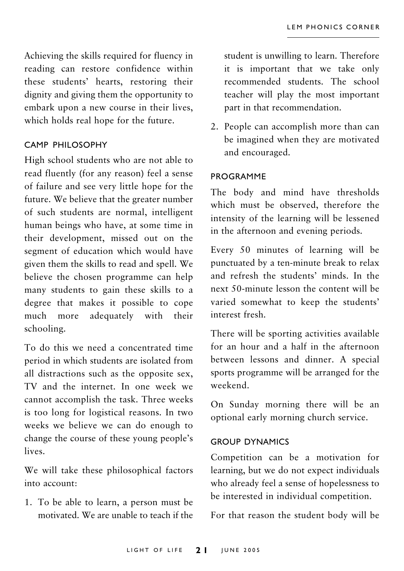Achieving the skills required for fluency in reading can restore confidence within these students' hearts, restoring their dignity and giving them the opportunity to embark upon a new course in their lives, which holds real hope for the future.

#### CAMP PHILOSOPHY

High school students who are not able to read fluently (for any reason) feel a sense of failure and see very little hope for the future. We believe that the greater number of such students are normal, intelligent human beings who have, at some time in their development, missed out on the segment of education which would have given them the skills to read and spell. We believe the chosen programme can help many students to gain these skills to a degree that makes it possible to cope adequately with their much more schooling.

To do this we need a concentrated time period in which students are isolated from all distractions such as the opposite sex. TV and the internet. In one week we cannot accomplish the task. Three weeks is too long for logistical reasons. In two weeks we believe we can do enough to change the course of these young people's lives.

We will take these philosophical factors into account:

1. To be able to learn, a person must be motivated. We are unable to teach if the student is unwilling to learn. Therefore it is important that we take only recommended students. The school teacher will play the most important part in that recommendation.

2. People can accomplish more than can be imagined when they are motivated and encouraged.

#### **PROGRAMME**

The body and mind have thresholds which must be observed, therefore the intensity of the learning will be lessened in the afternoon and evening periods.

Every 50 minutes of learning will be punctuated by a ten-minute break to relax and refresh the students' minds. In the next 50-minute lesson the content will be varied somewhat to keep the students' interest fresh.

There will be sporting activities available for an hour and a half in the afternoon between lessons and dinner. A special sports programme will be arranged for the weekend

On Sunday morning there will be an optional early morning church service.

#### **GROUP DYNAMICS**

Competition can be a motivation for learning, but we do not expect individuals who already feel a sense of hopelessness to be interested in individual competition.

For that reason the student body will be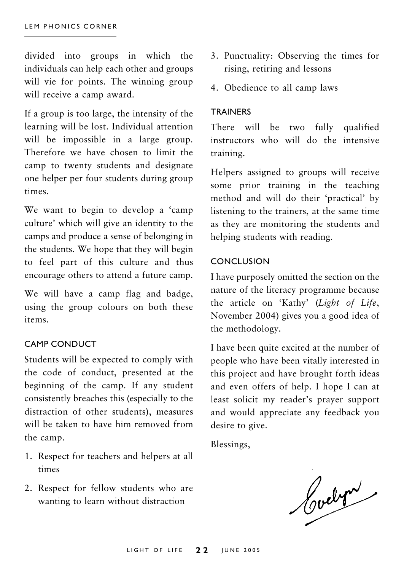divided into groups in which the individuals can help each other and groups will vie for points. The winning group will receive a camp award.

If a group is too large, the intensity of the learning will be lost. Individual attention will be impossible in a large group. Therefore we have chosen to limit the camp to twenty students and designate one helper per four students during group times

We want to begin to develop a 'camp culture' which will give an identity to the camps and produce a sense of belonging in the students. We hope that they will begin to feel part of this culture and thus encourage others to attend a future camp.

We will have a camp flag and badge, using the group colours on both these items.

#### **CAMP CONDUCT**

Students will be expected to comply with the code of conduct, presented at the beginning of the camp. If any student consistently breaches this (especially to the distraction of other students), measures will be taken to have him removed from the camp.

- 1. Respect for teachers and helpers at all times
- 2. Respect for fellow students who are wanting to learn without distraction
- 3. Punctuality: Observing the times for rising, retiring and lessons
- 4. Obedience to all camp laws

#### **TRAINERS**

There will be two fully qualified instructors who will do the intensive training.

Helpers assigned to groups will receive some prior training in the teaching method and will do their 'practical' by listening to the trainers, at the same time as they are monitoring the students and helping students with reading.

#### **CONCLUSION**

I have purposely omitted the section on the nature of the literacy programme because the article on 'Kathy' (Light of Life, November 2004) gives you a good idea of the methodology.

I have been quite excited at the number of people who have been vitally interested in this project and have brought forth ideas and even offers of help. I hope I can at least solicit my reader's prayer support and would appreciate any feedback you desire to give.

Blessings,

Cochre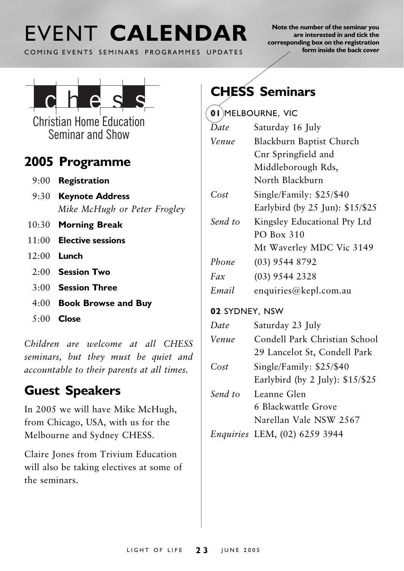## FVENT CALENDAR

COMING EVENTS SEMINARS PROGRAMMES UPDATES

Note the number of the seminar you are interested in and tick the corresponding box on the registration form inside the back cover



**Christian Home Education** Seminar and Show

### 2005 Programme

- $9:00$  Registration
- 9:30 Keynote Address Mike McHugh or Peter Frogley
- 10:30 Morning Break
- $11:00$  Elective sessions
- $12:00$  Lunch
	- $2.00$  Session Two
	- $3.00$  Session Three
	- 4:00 Book Browse and Buy
	- $5:00$  Close

Children are welcome at all CHESS seminars, but they must be quiet and accountable to their parents at all times.

## **Guest Speakers**

In 2005 we will have Mike McHugh, from Chicago, USA, with us for the Melbourne and Sydney CHESS.

Claire Jones from Trivium Education will also be taking electives at some of the seminars.

## **CHESS Seminars**

| 0 I     | MELBOURNE, VIC                   |
|---------|----------------------------------|
| Date    | Saturday 16 July                 |
| Venue   | Blackburn Baptist Church         |
|         | Cnr Springfield and              |
|         | Middleborough Rds,               |
|         | North Blackburn                  |
| Cost    | Single/Family: \$25/\$40         |
|         | Earlybird (by 25 Jun): \$15/\$25 |
| Send to | Kingsley Educational Pty Ltd     |
|         | PO Box 310                       |
|         | Mt Waverley MDC Vic 3149         |
| Phone   | $(03)$ 9544 8792                 |
| Fax     | $(03)$ 9544 2328                 |
| Email   | enquiries@kepl.com.au            |

#### 02 SYDNEY, NSW

| Date    | Saturday 23 July                  |
|---------|-----------------------------------|
| Venue   | Condell Park Christian School     |
|         | 29 Lancelot St, Condell Park      |
| Cost    | Single/Family: \$25/\$40          |
|         | Earlybird (by 2 July): $$15/\$25$ |
| Send to | Leanne Glen                       |
|         | 6 Blackwattle Grove               |
|         | Narellan Vale NSW 2567            |

Enquiries LEM, (02) 6259 3944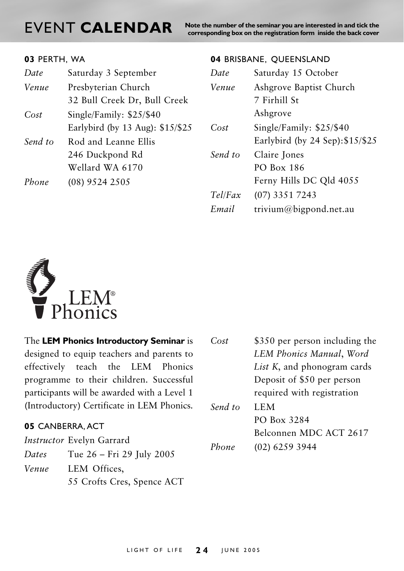## EVENT CALENDAR

Note the number of the seminar you are interested in and tick the corresponding box on the registration form inside the back cover

| 03 PERTH, WA |
|--------------|
|--------------|

| Date    | Saturday 3 September             |
|---------|----------------------------------|
| Venue   | Presbyterian Church              |
|         | 32 Bull Creek Dr, Bull Creek     |
| Cost    | Single/Family: \$25/\$40         |
|         | Earlybird (by 13 Aug): \$15/\$25 |
| Send to | Rod and Leanne Ellis             |
|         | 246 Duckpond Rd                  |
|         | Wellard WA 6170                  |
| Phone   | (08) 9524 2505                   |
|         |                                  |

#### 04 BRISBANE, QUEENSLAND

| Saturday 15 October              |
|----------------------------------|
| Ashgrove Baptist Church          |
| 7 Firhill St                     |
| Ashgrove                         |
| Single/Family: $$25/$40$         |
| Earlybird (by 24 Sep): \$15/\$25 |
| Claire Jones                     |
| PO Box 186                       |
| Ferny Hills DC Qld 4055          |
| (07) 3351 7243                   |
| trivium@bigpond.net.au           |
|                                  |



| The LEM Phonics Introductory Seminar is     | Cost                        | \$350 per person including the |
|---------------------------------------------|-----------------------------|--------------------------------|
| designed to equip teachers and parents to   |                             | LEM Phonics Manual, Word       |
| effectively teach the LEM Phonics           | List K, and phonogram cards |                                |
| programme to their children. Successful     | Deposit of \$50 per person  |                                |
| participants will be awarded with a Level 1 |                             | required with registration     |
| (Introductory) Certificate in LEM Phonics.  | Send to                     | LEM.                           |
|                                             |                             | PO Box 3284                    |
| 05 CANBERRA, ACT                            |                             | $\sqrt{2}$<br>$\sqrt{2}$       |

|       | <i>Instructor</i> Evelyn Garrard |
|-------|----------------------------------|
| Dates | Tue 26 – Fri 29 July 2005        |
| Venue | LEM Offices,                     |
|       | 55 Crofts Cres, Spence ACT       |

|         | LEM Phonics Manual, Word            |
|---------|-------------------------------------|
|         | <i>List K</i> , and phonogram cards |
|         | Deposit of \$50 per person          |
|         | required with registration          |
| Send to | LEM                                 |
|         | PO Box 3284                         |
|         | Belconnen MDC ACT 2617              |
| Phone   | (02) 6259 3944                      |
|         |                                     |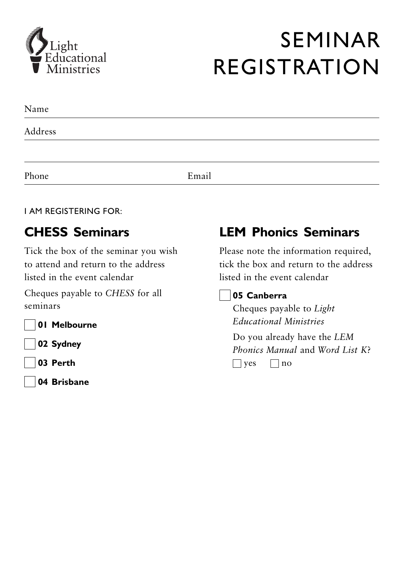

## **SEMINAR REGISTRATION**

| Name    |       |  |
|---------|-------|--|
| Address |       |  |
|         |       |  |
| Phone   | Email |  |

#### **I AM REGISTERING FOR:**

### **CHESS Seminars**

Tick the box of the seminar you wish to attend and return to the address listed in the event calendar

Cheques payable to CHESS for all seminars

01 Melbourne

02 Sydney

- 03 Perth
- 04 Brisbane

## **LEM Phonics Seminars**

Please note the information required, tick the box and return to the address listed in the event calendar

#### 05 Canberra

Cheques payable to Light **Educational Ministries** 

Do you already have the LEM Phonics Manual and Word List  $K^2$  $\Box$  yes  $\Box$  no